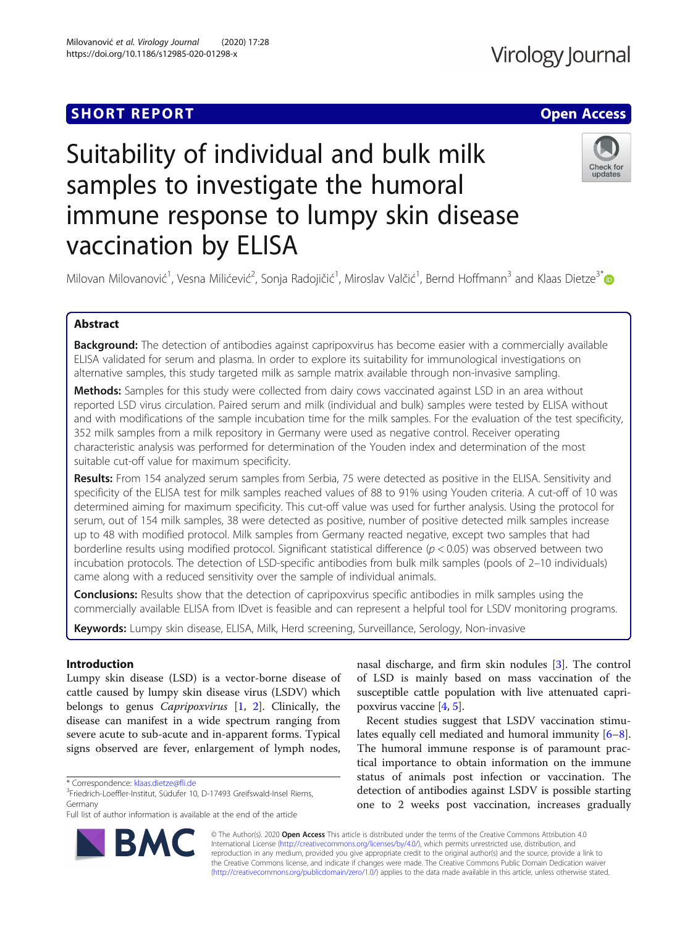## **SHORT REPORT CONTRACT CONTRACT CONTRACT CONTRACT CONTRACT CONTRACT CONTRACT CONTRACT CONTRACT CONTRACT CONTRACT CONTRACT CONTRACT CONTRACT CONTRACT CONTRACT CONTRACT CONTRACT CONTRACT CONTRACT CONTRACT CONTRACT CONTRACT C**

# Suitability of individual and bulk milk samples to investigate the humoral immune response to lumpy skin disease vaccination by ELISA



Milovan Milovanović<sup>1</sup>, Vesna Milićević<sup>2</sup>, Sonja Radojičić<sup>1</sup>, Miroslav Valčić<sup>1</sup>, Bernd Hoffmann<sup>3</sup> and Klaas Dietze<sup>3[\\*](http://orcid.org/0000-0002-6138-6707)</sup>

#### Abstract

Background: The detection of antibodies against capripoxvirus has become easier with a commercially available ELISA validated for serum and plasma. In order to explore its suitability for immunological investigations on alternative samples, this study targeted milk as sample matrix available through non-invasive sampling.

Methods: Samples for this study were collected from dairy cows vaccinated against LSD in an area without reported LSD virus circulation. Paired serum and milk (individual and bulk) samples were tested by ELISA without and with modifications of the sample incubation time for the milk samples. For the evaluation of the test specificity, 352 milk samples from a milk repository in Germany were used as negative control. Receiver operating characteristic analysis was performed for determination of the Youden index and determination of the most suitable cut-off value for maximum specificity.

Results: From 154 analyzed serum samples from Serbia, 75 were detected as positive in the ELISA. Sensitivity and specificity of the ELISA test for milk samples reached values of 88 to 91% using Youden criteria. A cut-off of 10 was determined aiming for maximum specificity. This cut-off value was used for further analysis. Using the protocol for serum, out of 154 milk samples, 38 were detected as positive, number of positive detected milk samples increase up to 48 with modified protocol. Milk samples from Germany reacted negative, except two samples that had borderline results using modified protocol. Significant statistical difference (p < 0.05) was observed between two incubation protocols. The detection of LSD-specific antibodies from bulk milk samples (pools of 2–10 individuals) came along with a reduced sensitivity over the sample of individual animals.

**Conclusions:** Results show that the detection of capripoxvirus specific antibodies in milk samples using the commercially available ELISA from IDvet is feasible and can represent a helpful tool for LSDV monitoring programs.

Keywords: Lumpy skin disease, ELISA, Milk, Herd screening, Surveillance, Serology, Non-invasive

#### Introduction

Lumpy skin disease (LSD) is a vector-borne disease of cattle caused by lumpy skin disease virus (LSDV) which belongs to genus Capripoxvirus [\[1](#page-6-0), [2\]](#page-6-0). Clinically, the disease can manifest in a wide spectrum ranging from severe acute to sub-acute and in-apparent forms. Typical signs observed are fever, enlargement of lymph nodes,



Recent studies suggest that LSDV vaccination stimulates equally cell mediated and humoral immunity [\[6](#page-6-0)–[8](#page-6-0)]. The humoral immune response is of paramount practical importance to obtain information on the immune status of animals post infection or vaccination. The detection of antibodies against LSDV is possible starting one to 2 weeks post vaccination, increases gradually

© The Author(s). 2020 **Open Access** This article is distributed under the terms of the Creative Commons Attribution 4.0 International License [\(http://creativecommons.org/licenses/by/4.0/](http://creativecommons.org/licenses/by/4.0/)), which permits unrestricted use, distribution, and reproduction in any medium, provided you give appropriate credit to the original author(s) and the source, provide a link to the Creative Commons license, and indicate if changes were made. The Creative Commons Public Domain Dedication waiver [\(http://creativecommons.org/publicdomain/zero/1.0/](http://creativecommons.org/publicdomain/zero/1.0/)) applies to the data made available in this article, unless otherwise stated.



<sup>\*</sup> Correspondence: [klaas.dietze@fli.de](mailto:klaas.dietze@fli.de) <sup>3</sup>

<sup>&</sup>lt;sup>3</sup>Friedrich-Loeffler-Institut, Südufer 10, D-17493 Greifswald-Insel Riems, Germany

Full list of author information is available at the end of the article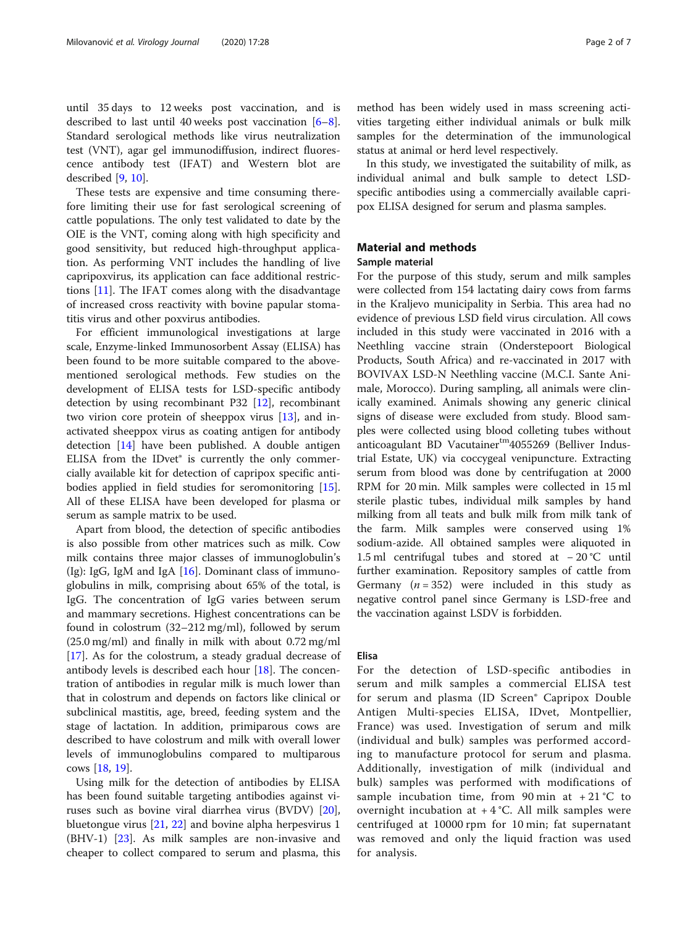until 35 days to 12 weeks post vaccination, and is described to last until 40 weeks post vaccination [\[6](#page-6-0)–[8](#page-6-0)]. Standard serological methods like virus neutralization test (VNT), agar gel immunodiffusion, indirect fluorescence antibody test (IFAT) and Western blot are described [[9](#page-6-0), [10](#page-6-0)].

These tests are expensive and time consuming therefore limiting their use for fast serological screening of cattle populations. The only test validated to date by the OIE is the VNT, coming along with high specificity and good sensitivity, but reduced high-throughput application. As performing VNT includes the handling of live capripoxvirus, its application can face additional restrictions [\[11](#page-6-0)]. The IFAT comes along with the disadvantage of increased cross reactivity with bovine papular stomatitis virus and other poxvirus antibodies.

For efficient immunological investigations at large scale, Enzyme-linked Immunosorbent Assay (ELISA) has been found to be more suitable compared to the abovementioned serological methods. Few studies on the development of ELISA tests for LSD-specific antibody detection by using recombinant P32 [[12\]](#page-6-0), recombinant two virion core protein of sheeppox virus [[13](#page-6-0)], and inactivated sheeppox virus as coating antigen for antibody detection [[14\]](#page-6-0) have been published. A double antigen ELISA from the IDvet® is currently the only commercially available kit for detection of capripox specific antibodies applied in field studies for seromonitoring [\[15](#page-6-0)]. All of these ELISA have been developed for plasma or serum as sample matrix to be used.

Apart from blood, the detection of specific antibodies is also possible from other matrices such as milk. Cow milk contains three major classes of immunoglobulin's (Ig): IgG, IgM and IgA  $[16]$  $[16]$ . Dominant class of immunoglobulins in milk, comprising about 65% of the total, is IgG. The concentration of IgG varies between serum and mammary secretions. Highest concentrations can be found in colostrum (32–212 mg/ml), followed by serum (25.0 mg/ml) and finally in milk with about 0.72 mg/ml [[17\]](#page-6-0). As for the colostrum, a steady gradual decrease of antibody levels is described each hour [[18\]](#page-6-0). The concentration of antibodies in regular milk is much lower than that in colostrum and depends on factors like clinical or subclinical mastitis, age, breed, feeding system and the stage of lactation. In addition, primiparous cows are described to have colostrum and milk with overall lower levels of immunoglobulins compared to multiparous cows [[18,](#page-6-0) [19\]](#page-6-0).

Using milk for the detection of antibodies by ELISA has been found suitable targeting antibodies against viruses such as bovine viral diarrhea virus (BVDV) [\[20](#page-6-0)], bluetongue virus [\[21](#page-6-0), [22](#page-6-0)] and bovine alpha herpesvirus 1 (BHV-1) [[23](#page-6-0)]. As milk samples are non-invasive and cheaper to collect compared to serum and plasma, this

method has been widely used in mass screening activities targeting either individual animals or bulk milk samples for the determination of the immunological status at animal or herd level respectively.

In this study, we investigated the suitability of milk, as individual animal and bulk sample to detect LSDspecific antibodies using a commercially available capripox ELISA designed for serum and plasma samples.

### Material and methods

#### Sample material

For the purpose of this study, serum and milk samples were collected from 154 lactating dairy cows from farms in the Kraljevo municipality in Serbia. This area had no evidence of previous LSD field virus circulation. All cows included in this study were vaccinated in 2016 with a Neethling vaccine strain (Onderstepoort Biological Products, South Africa) and re-vaccinated in 2017 with BOVIVAX LSD-N Neethling vaccine (M.C.I. Sante Animale, Morocco). During sampling, all animals were clinically examined. Animals showing any generic clinical signs of disease were excluded from study. Blood samples were collected using blood colleting tubes without anticoagulant BD Vacutainertm<sub>4055269</sub> (Belliver Industrial Estate, UK) via coccygeal venipuncture. Extracting serum from blood was done by centrifugation at 2000 RPM for 20 min. Milk samples were collected in 15 ml sterile plastic tubes, individual milk samples by hand milking from all teats and bulk milk from milk tank of the farm. Milk samples were conserved using 1% sodium-azide. All obtained samples were aliquoted in 1.5 ml centrifugal tubes and stored at − 20 °C until further examination. Repository samples of cattle from Germany ( $n = 352$ ) were included in this study as negative control panel since Germany is LSD-free and the vaccination against LSDV is forbidden.

#### Elisa

For the detection of LSD-specific antibodies in serum and milk samples a commercial ELISA test for serum and plasma (ID Screen® Capripox Double Antigen Multi-species ELISA, IDvet, Montpellier, France) was used. Investigation of serum and milk (individual and bulk) samples was performed according to manufacture protocol for serum and plasma. Additionally, investigation of milk (individual and bulk) samples was performed with modifications of sample incubation time, from 90 min at +21 °C to overnight incubation at  $+4$  °C. All milk samples were centrifuged at 10000 rpm for 10 min; fat supernatant was removed and only the liquid fraction was used for analysis.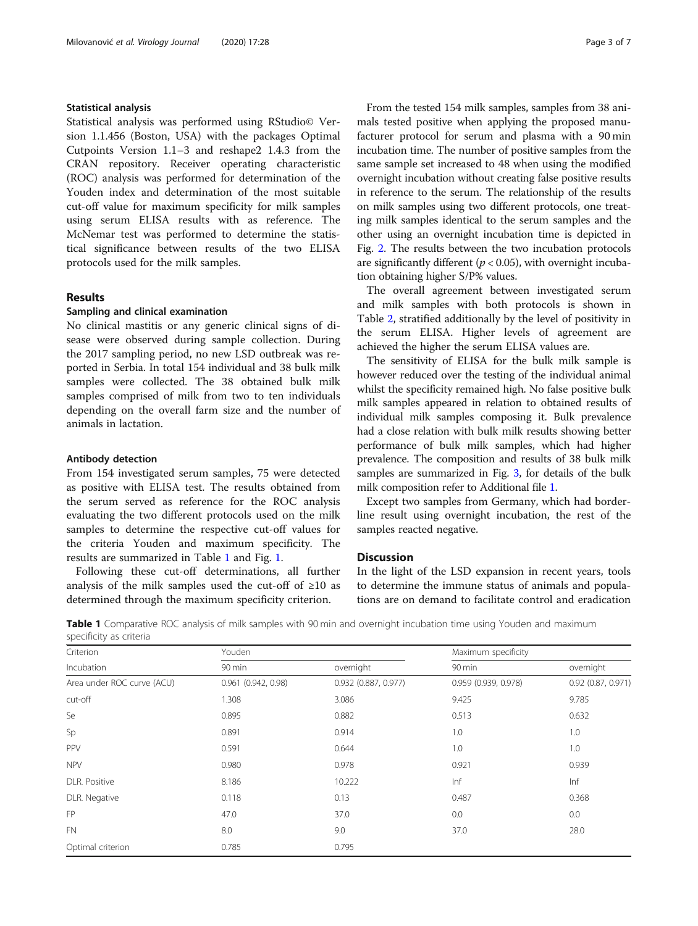#### Statistical analysis

Statistical analysis was performed using RStudio© Version 1.1.456 (Boston, USA) with the packages Optimal Cutpoints Version 1.1–3 and reshape2 1.4.3 from the CRAN repository. Receiver operating characteristic (ROC) analysis was performed for determination of the Youden index and determination of the most suitable cut-off value for maximum specificity for milk samples using serum ELISA results with as reference. The McNemar test was performed to determine the statistical significance between results of the two ELISA protocols used for the milk samples.

#### Results

#### Sampling and clinical examination

No clinical mastitis or any generic clinical signs of disease were observed during sample collection. During the 2017 sampling period, no new LSD outbreak was reported in Serbia. In total 154 individual and 38 bulk milk samples were collected. The 38 obtained bulk milk samples comprised of milk from two to ten individuals depending on the overall farm size and the number of animals in lactation.

#### Antibody detection

From 154 investigated serum samples, 75 were detected as positive with ELISA test. The results obtained from the serum served as reference for the ROC analysis evaluating the two different protocols used on the milk samples to determine the respective cut-off values for the criteria Youden and maximum specificity. The results are summarized in Table 1 and Fig. [1.](#page-3-0)

Following these cut-off determinations, all further analysis of the milk samples used the cut-off of  $\geq 10$  as determined through the maximum specificity criterion.

From the tested 154 milk samples, samples from 38 animals tested positive when applying the proposed manufacturer protocol for serum and plasma with a 90 min incubation time. The number of positive samples from the same sample set increased to 48 when using the modified overnight incubation without creating false positive results in reference to the serum. The relationship of the results on milk samples using two different protocols, one treating milk samples identical to the serum samples and the other using an overnight incubation time is depicted in Fig. [2](#page-4-0). The results between the two incubation protocols are significantly different ( $p < 0.05$ ), with overnight incubation obtaining higher S/P% values.

The overall agreement between investigated serum and milk samples with both protocols is shown in Table [2,](#page-4-0) stratified additionally by the level of positivity in the serum ELISA. Higher levels of agreement are achieved the higher the serum ELISA values are.

The sensitivity of ELISA for the bulk milk sample is however reduced over the testing of the individual animal whilst the specificity remained high. No false positive bulk milk samples appeared in relation to obtained results of individual milk samples composing it. Bulk prevalence had a close relation with bulk milk results showing better performance of bulk milk samples, which had higher prevalence. The composition and results of 38 bulk milk samples are summarized in Fig. [3](#page-5-0), for details of the bulk milk composition refer to Additional file [1.](#page-5-0)

Except two samples from Germany, which had borderline result using overnight incubation, the rest of the samples reacted negative.

#### **Discussion**

In the light of the LSD expansion in recent years, tools to determine the immune status of animals and populations are on demand to facilitate control and eradication

Table 1 Comparative ROC analysis of milk samples with 90 min and overnight incubation time using Youden and maximum specificity as criteria

| Criterion<br>Incubation    | Youden              |                      | Maximum specificity  |                      |
|----------------------------|---------------------|----------------------|----------------------|----------------------|
|                            | 90 min              | overnight            | 90 min               | overnight            |
| Area under ROC curve (ACU) | 0.961 (0.942, 0.98) | 0.932 (0.887, 0.977) | 0.959 (0.939, 0.978) | $0.92$ (0.87, 0.971) |
| cut-off                    | 1.308               | 3.086                | 9.425                | 9.785                |
| Se                         | 0.895               | 0.882                | 0.513                | 0.632                |
| Sp                         | 0.891               | 0.914                | 1.0                  | 1.0                  |
| PPV                        | 0.591               | 0.644                | 1.0                  | 1.0                  |
| <b>NPV</b>                 | 0.980               | 0.978                | 0.921                | 0.939                |
| DLR. Positive              | 8.186               | 10.222               | Inf                  | Inf                  |
| DLR. Negative              | 0.118               | 0.13                 | 0.487                | 0.368                |
| FP                         | 47.0                | 37.0                 | 0.0                  | $0.0\,$              |
| <b>FN</b>                  | 8.0                 | 9.0                  | 37.0                 | 28.0                 |
| Optimal criterion          | 0.785               | 0.795                |                      |                      |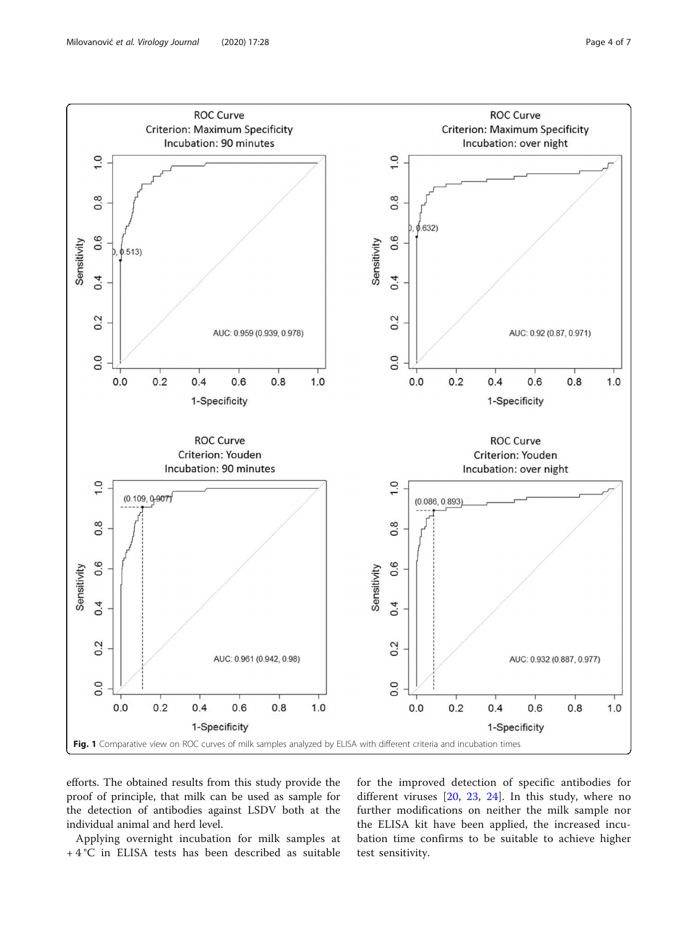<span id="page-3-0"></span>

efforts. The obtained results from this study provide the proof of principle, that milk can be used as sample for the detection of antibodies against LSDV both at the individual animal and herd level.

Applying overnight incubation for milk samples at + 4 °C in ELISA tests has been described as suitable for the improved detection of specific antibodies for different viruses [\[20](#page-6-0), [23](#page-6-0), [24](#page-6-0)]. In this study, where no further modifications on neither the milk sample nor the ELISA kit have been applied, the increased incubation time confirms to be suitable to achieve higher test sensitivity.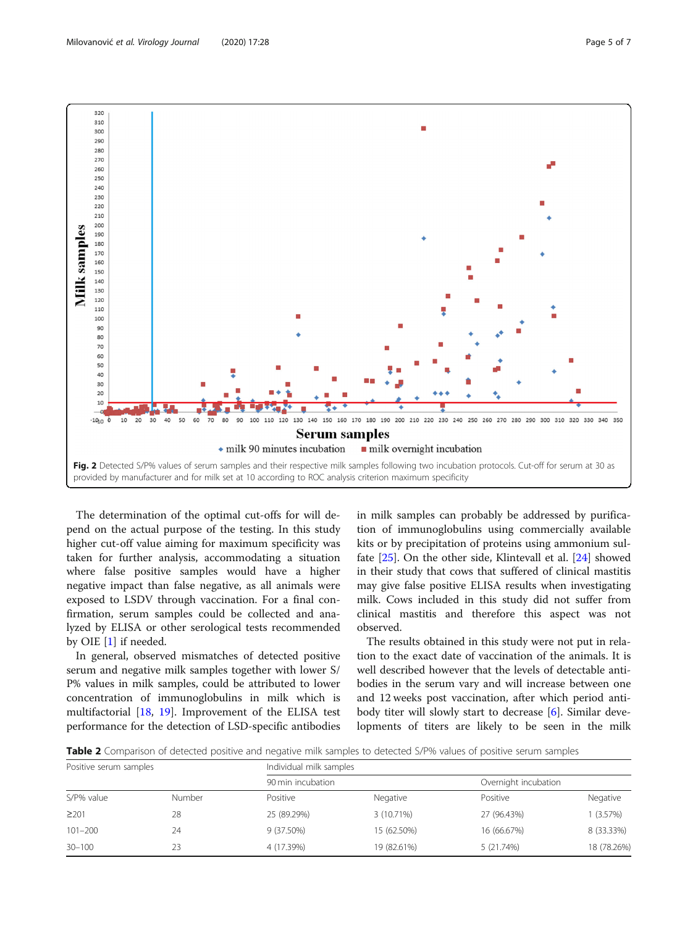<span id="page-4-0"></span>

The determination of the optimal cut-offs for will depend on the actual purpose of the testing. In this study higher cut-off value aiming for maximum specificity was taken for further analysis, accommodating a situation where false positive samples would have a higher negative impact than false negative, as all animals were exposed to LSDV through vaccination. For a final confirmation, serum samples could be collected and analyzed by ELISA or other serological tests recommended by OIE [[1\]](#page-6-0) if needed.

In general, observed mismatches of detected positive serum and negative milk samples together with lower S/ P% values in milk samples, could be attributed to lower concentration of immunoglobulins in milk which is multifactorial [\[18](#page-6-0), [19\]](#page-6-0). Improvement of the ELISA test performance for the detection of LSD-specific antibodies in milk samples can probably be addressed by purification of immunoglobulins using commercially available kits or by precipitation of proteins using ammonium sulfate [[25\]](#page-6-0). On the other side, Klintevall et al. [[24](#page-6-0)] showed in their study that cows that suffered of clinical mastitis may give false positive ELISA results when investigating milk. Cows included in this study did not suffer from clinical mastitis and therefore this aspect was not observed.

The results obtained in this study were not put in relation to the exact date of vaccination of the animals. It is well described however that the levels of detectable antibodies in the serum vary and will increase between one and 12 weeks post vaccination, after which period antibody titer will slowly start to decrease [\[6](#page-6-0)]. Similar developments of titers are likely to be seen in the milk

Table 2 Comparison of detected positive and negative milk samples to detected S/P% values of positive serum samples

| Positive serum samples |        | Individual milk samples |             |                      |             |  |
|------------------------|--------|-------------------------|-------------|----------------------|-------------|--|
|                        |        | 90 min incubation       |             | Overnight incubation |             |  |
| S/P% value             | Number | Positive                | Negative    | Positive             | Negative    |  |
| $\geq$ 201             | 28     | 25 (89.29%)             | 3 (10.71%)  | 27 (96.43%)          | (3.57%)     |  |
| $101 - 200$            | 24     | 9 (37.50%)              | 15 (62.50%) | 16 (66.67%)          | 8 (33.33%)  |  |
| $30 - 100$             | 23     | 4 (17.39%)              | 19 (82.61%) | 5 (21.74%)           | 18 (78.26%) |  |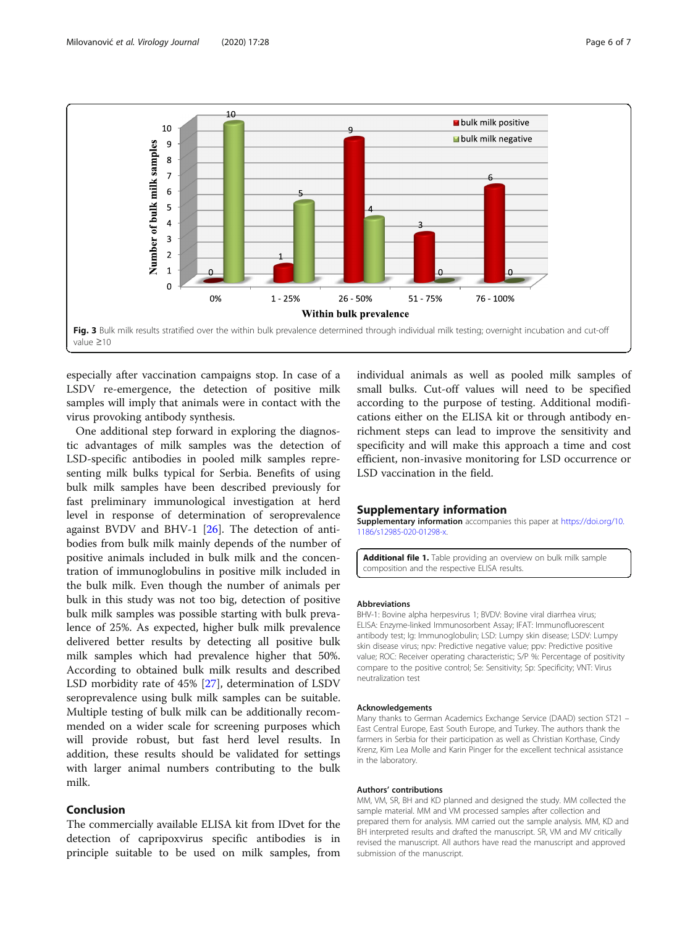<span id="page-5-0"></span>

especially after vaccination campaigns stop. In case of a LSDV re-emergence, the detection of positive milk samples will imply that animals were in contact with the virus provoking antibody synthesis.

One additional step forward in exploring the diagnostic advantages of milk samples was the detection of LSD-specific antibodies in pooled milk samples representing milk bulks typical for Serbia. Benefits of using bulk milk samples have been described previously for fast preliminary immunological investigation at herd level in response of determination of seroprevalence against BVDV and BHV-1 [\[26](#page-6-0)]. The detection of antibodies from bulk milk mainly depends of the number of positive animals included in bulk milk and the concentration of immunoglobulins in positive milk included in the bulk milk. Even though the number of animals per bulk in this study was not too big, detection of positive bulk milk samples was possible starting with bulk prevalence of 25%. As expected, higher bulk milk prevalence delivered better results by detecting all positive bulk milk samples which had prevalence higher that 50%. According to obtained bulk milk results and described LSD morbidity rate of 45% [[27\]](#page-6-0), determination of LSDV seroprevalence using bulk milk samples can be suitable. Multiple testing of bulk milk can be additionally recommended on a wider scale for screening purposes which will provide robust, but fast herd level results. In addition, these results should be validated for settings with larger animal numbers contributing to the bulk milk.

#### Conclusion

The commercially available ELISA kit from IDvet for the detection of capripoxvirus specific antibodies is in principle suitable to be used on milk samples, from

individual animals as well as pooled milk samples of small bulks. Cut-off values will need to be specified according to the purpose of testing. Additional modifications either on the ELISA kit or through antibody enrichment steps can lead to improve the sensitivity and specificity and will make this approach a time and cost efficient, non-invasive monitoring for LSD occurrence or LSD vaccination in the field.

#### Supplementary information

Supplementary information accompanies this paper at [https://doi.org/10.](https://doi.org/10.1186/s12985-020-01298-x) [1186/s12985-020-01298-x.](https://doi.org/10.1186/s12985-020-01298-x)

Additional file 1. Table providing an overview on bulk milk sample composition and the respective ELISA results.

#### Abbreviations

BHV-1: Bovine alpha herpesvirus 1; BVDV: Bovine viral diarrhea virus; ELISA: Enzyme-linked Immunosorbent Assay; IFAT: Immunofluorescent antibody test; Ig: Immunoglobulin; LSD: Lumpy skin disease; LSDV: Lumpy skin disease virus; npv: Predictive negative value; ppv: Predictive positive value; ROC: Receiver operating characteristic; S/P %: Percentage of positivity compare to the positive control; Se: Sensitivity; Sp: Specificity; VNT: Virus neutralization test

#### Acknowledgements

Many thanks to German Academics Exchange Service (DAAD) section ST21 – East Central Europe, East South Europe, and Turkey. The authors thank the farmers in Serbia for their participation as well as Christian Korthase, Cindy Krenz, Kim Lea Molle and Karin Pinger for the excellent technical assistance in the laboratory.

#### Authors' contributions

MM, VM, SR, BH and KD planned and designed the study. MM collected the sample material. MM and VM processed samples after collection and prepared them for analysis. MM carried out the sample analysis. MM, KD and BH interpreted results and drafted the manuscript. SR, VM and MV critically revised the manuscript. All authors have read the manuscript and approved submission of the manuscript.